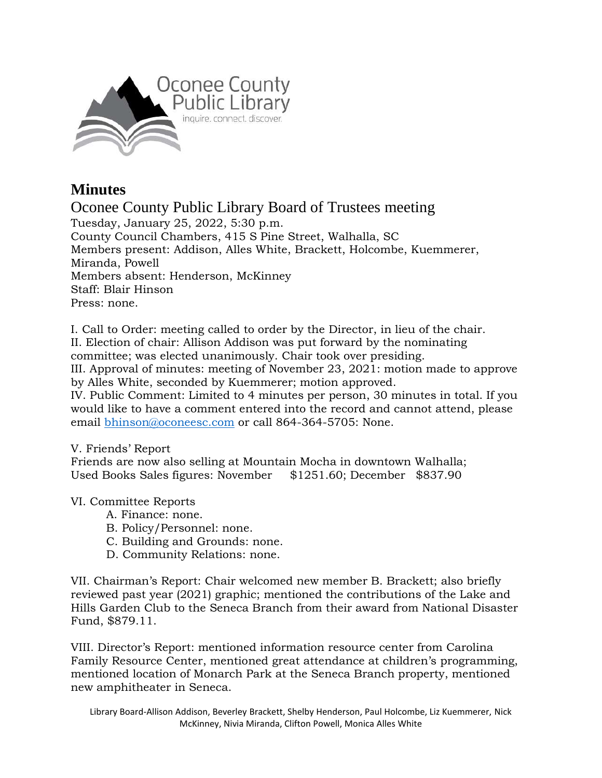

## **Minutes**

Oconee County Public Library Board of Trustees meeting Tuesday, January 25, 2022, 5:30 p.m. County Council Chambers, 415 S Pine Street, Walhalla, SC Members present: Addison, Alles White, Brackett, Holcombe, Kuemmerer, Miranda, Powell Members absent: Henderson, McKinney Staff: Blair Hinson Press: none.

I. Call to Order: meeting called to order by the Director, in lieu of the chair. II. Election of chair: Allison Addison was put forward by the nominating committee; was elected unanimously. Chair took over presiding. III. Approval of minutes: meeting of November 23, 2021: motion made to approve by Alles White, seconded by Kuemmerer; motion approved.

IV. Public Comment: Limited to 4 minutes per person, 30 minutes in total. If you would like to have a comment entered into the record and cannot attend, please email [bhinson@oconeesc.com](mailto:bhinson@oconeesc.com) or call 864-364-5705: None.

## V. Friends' Report

Friends are now also selling at Mountain Mocha in downtown Walhalla; Used Books Sales figures: November \$1251.60; December \$837.90

## VI. Committee Reports

- A. Finance: none.
- B. Policy/Personnel: none.
- C. Building and Grounds: none.
- D. Community Relations: none.

VII. Chairman's Report: Chair welcomed new member B. Brackett; also briefly reviewed past year (2021) graphic; mentioned the contributions of the Lake and Hills Garden Club to the Seneca Branch from their award from National Disaster Fund, \$879.11.

VIII. Director's Report: mentioned information resource center from Carolina Family Resource Center, mentioned great attendance at children's programming, mentioned location of Monarch Park at the Seneca Branch property, mentioned new amphitheater in Seneca.